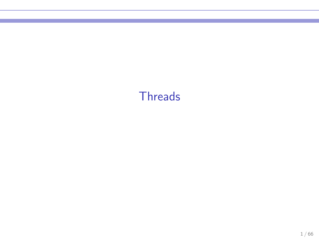## **Threads**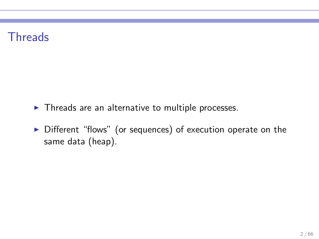## **Threads**

- ▶ Threads are an alternative to multiple processes.
- ▶ Different "flows" (or sequences) of execution operate on the same data (heap).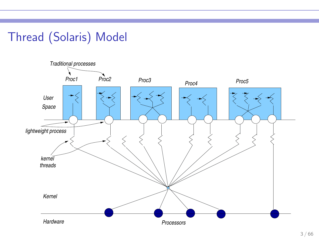# Thread (Solaris) Model

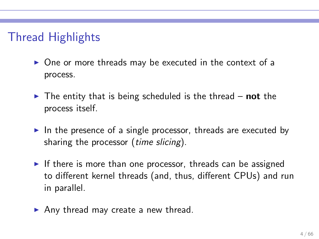# Thread Highlights

- ▶ One or more threads may be executed in the context of a process.
- $\triangleright$  The entity that is being scheduled is the thread not the process itself.
- $\triangleright$  In the presence of a single processor, threads are executed by sharing the processor *(time slicing)*.
- $\triangleright$  If there is more than one processor, threads can be assigned to different kernel threads (and, thus, different CPUs) and run in parallel.
- $\blacktriangleright$  Any thread may create a new thread.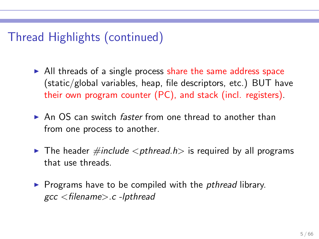# Thread Highlights (continued)

- $\triangleright$  All threads of a single process share the same address space (static/global variables, heap, file descriptors, etc.) BUT have their own program counter (PC), and stack (incl. registers).
- $\triangleright$  An OS can switch *faster* from one thread to another than from one process to another.
- $\triangleright$  The header  $\#$ include  $\lt$  pthread.h is required by all programs that use threads.
- ▶ Programs have to be compiled with the *pthread* library. gcc <filename>.c -lpthread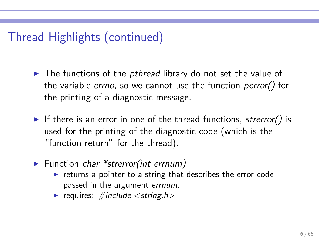# Thread Highlights (continued)

- $\triangleright$  The functions of the *pthread* library do not set the value of the variable errno, so we cannot use the function perror() for the printing of a diagnostic message.
- If there is an error in one of the thread functions, strerror() is used for the printing of the diagnostic code (which is the "function return" for the thread).
- $\blacktriangleright$  Function char \*strerror(int errnum)
	- $\triangleright$  returns a pointer to a string that describes the error code passed in the argument errnum.
	- requires:  $\#include <$ string.h>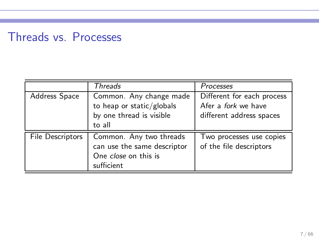# Threads vs. Processes

|                         | Threads                                                                                      | Processes                                                                            |
|-------------------------|----------------------------------------------------------------------------------------------|--------------------------------------------------------------------------------------|
| Address Space           | Common. Any change made<br>to heap or static/globals<br>by one thread is visible<br>to all   | Different for each process<br>Afer a <i>fork</i> we have<br>different address spaces |
| <b>File Descriptors</b> | Common. Any two threads<br>can use the same descriptor<br>One close on this is<br>sufficient | Two processes use copies<br>of the file descriptors                                  |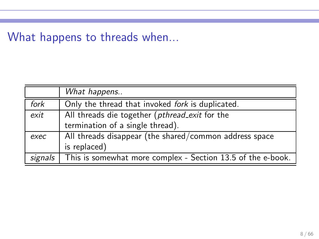## What happens to threads when...

|      | What happens                                                          |
|------|-----------------------------------------------------------------------|
| fork | Only the thread that invoked fork is duplicated.                      |
| exit | All threads die together (pthread_exit for the                        |
|      | termination of a single thread).                                      |
| exec | All threads disappear (the shared/common address space                |
|      | is replaced)                                                          |
|      | signals   This is somewhat more complex - Section 13.5 of the e-book. |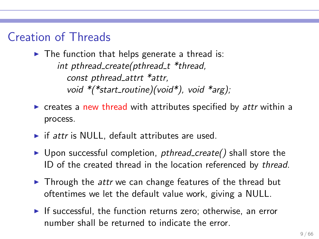### Creation of Threads

 $\blacktriangleright$  The function that helps generate a thread is: int pthread create(pthread  $t$  \*thread, const pthread attrt \*attr, void  $*(\text{*start\_routine})(\text{void *})$ , void  $*\text{arg})$ ;

- $\triangleright$  creates a new thread with attributes specified by attr within a process.
- $\triangleright$  if attr is NULL, default attributes are used.
- $\triangleright$  Upon successful completion, pthread create() shall store the ID of the created thread in the location referenced by thread.
- ▶ Through the attr we can change features of the thread but oftentimes we let the default value work, giving a NULL.
- $\blacktriangleright$  If successful, the function returns zero; otherwise, an error number shall be returned to indicate the error.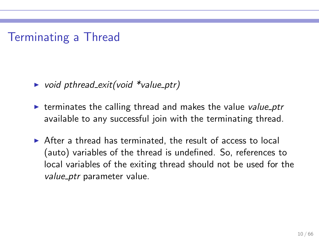## Terminating a Thread

- ▶ void pthread\_exit(void  $*$ value\_ptr)
- $\triangleright$  terminates the calling thread and makes the value value ptr available to any successful join with the terminating thread.
- $\triangleright$  After a thread has terminated, the result of access to local (auto) variables of the thread is undefined. So, references to local variables of the exiting thread should not be used for the value ptr parameter value.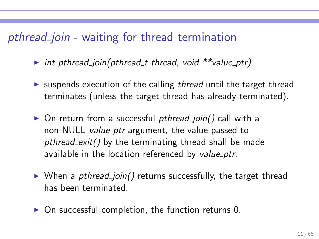### pthread join - waiting for thread termination

- ▶ int pthread\_join(pthread\_t thread, void \*\*value\_ptr)
- $\triangleright$  suspends execution of the calling thread until the target thread terminates (unless the target thread has already terminated).
- ▶ On return from a successful pthread\_join() call with a non-NULL value ptr argument, the value passed to pthread  $exit()$  by the terminating thread shall be made available in the location referenced by value ptr.
- $\triangleright$  When a *pthread join()* returns successfully, the target thread has been terminated.
- $\triangleright$  On successful completion, the function returns 0.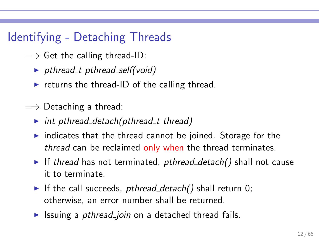# Identifying - Detaching Threads

- $\implies$  Get the calling thread-ID:
	- $\rightarrow$  pthread t pthread self(void)
	- $\triangleright$  returns the thread-ID of the calling thread.
- $\implies$  Detaching a thread:
	- int pthread detach(pthread t thread)
	- $\triangleright$  indicates that the thread cannot be joined. Storage for the thread can be reclaimed only when the thread terminates.
	- If thread has not terminated, pthread\_detach() shall not cause it to terminate.
	- If the call succeeds, pthread detach() shall return 0; otherwise, an error number shall be returned.
	- ► Issuing a *pthread join* on a detached thread fails.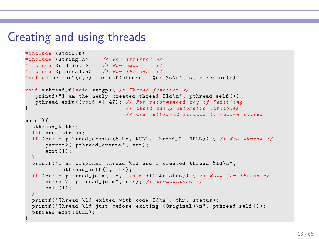#### Creating and using threads

```
#include <stdio h>
# include < string .h > /* For strerror */
# include < stdlib .h > /* For exit */
#include <pthread.h> /* For threads */
# define perror 2(s, e) fprintf (stderr, "%s: % s\n", s, strerror (e))
void * thread_f ( void * argp ) { /* Thread function */
   printf ("I am the newly created thread \lambda^dd \n", pthread_self ());
   pthread_exit (( void *) 47) ; // Not recommended way of " exit " ing
                                } // avoid using automatic variables
                                // use malloc - ed structs to return status
main () {
  pthread t thr:
  int err , status ;
  if ( err = pthread_create (& thr , NULL , thread_f , NULL ) ) { /* New thread */
      perror2 (" pthread create", err) ;
      exit (1) ;
  }
  printf ("I am original thread %ld and I created thread %ld\n",
           pthread self (), thr):
  if ( err = pthread_join ( thr , (void **) & status ) ) { /* Wait for thread */
      perror2 (" pthread_join " , err ) ; /* termination */
      exit (1) ;
  }
  printf ("Thread %ld exited with code %d\n", thr, status);
  printf ("Thread %ld just before exiting (Original)\n", pthread_self ());
  pthread exit ( NULL ) :
}
```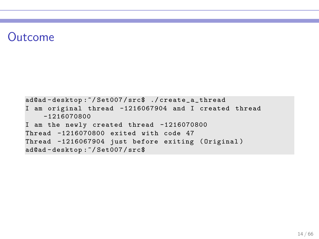### Outcome

```
ad@ad - desktop :~/ Set007 / src$ ./ create_a_thread
I am original thread -1216067904 and I created thread
    -1216070800
I am the newly created thread -1216070800
Thread -1216070800 exited with code 47
Thread -1216067904 just before exiting (Original)
ad@ad - desktop :~/ Set007 / src$
```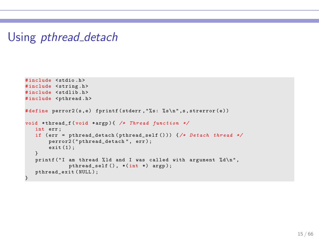### Using *pthread\_detach*

```
# include < stdio .h >
#include <string.h>
#include <stdlib.h>
#include <pthread.h>
# define perror 2(s,e) fprintf (stderr, "% s: % s\n", s, strerror (e))
void * thread_f ( void * argp ) { /* Thread function */
   int err ;
   if ( err = pthread_detach ( pthread_self () )) {/* Detach thread */
       perror2 ("pthread_detach", err);
       ext(1);
   }
   printf ("I am thread %ld and I was called with argument %d\n",
              pthread_self (), *(int *) argp);
   pthread_exit ( NULL ) ;
}
```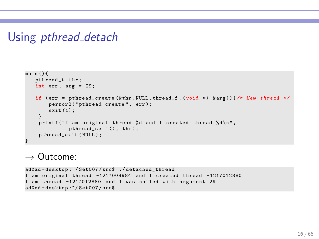#### Using *pthread\_detach*

```
main () {
   pthread_t thr ;
   int err, arg = 29;
   if ( err = pthread_create (& thr , NULL , thread_f ,( void *) & arg ) ) {/* New thread */
       perror2("pthread_create", err);
       ext(1):
    }
    printf ("I am original thread %d and I created thread %d\n",
              pthread_self (), thr);
    pthread_exit ( NULL ) ;
}
```
 $\rightarrow$  Outcome:

ad@ad - desktop :~/ Set007 / src\$ ./ detached\_thread I am original thread -1217009984 and I created thread -1217012880 I am thread -1217012880 and I was called with argument 29 ad@ad - desktop :~/ Set007 / src\$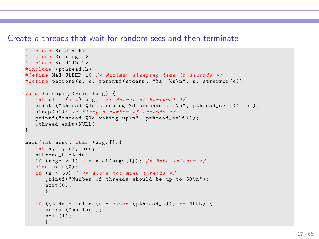#### Create n threads that wait for random secs and then terminate

```
# include < stdio .h >
#include <string.h>
# include < stdlib .h >
#include <pthread.h>
# define MAX_SLEEP 10 /* Maximum sleeping time in seconds */
#define perror2(s, e) fprintf(stderr, "%s: %s\n", s, strerror(e))
void * sleeping (void * arg) {
   int sl = (int) arg; /* Horror of horrors! */
   printf ("thread % ld sleeping % d seconds \ldots \n", pthread self (), sl) ;
   sleep (sl); /* Sleep a number of seconds */
   printf ("thread \lambdald waking up\n", pthread_self ());
   pthread exit ( NULL ) ;
}
main (int argc , char * argv []) {
   int n, i, sl, err ;
   pthread_t * tids ;
   if ( argc > 1) n = atoi ( argv [1]) ; /* Make integer */
   else exit (0) ;
   if ( n > 50) { /* Avoid too many threads */
      printf ("Number of threads should be up to 50\n");
      exit (0) ;
      }
   if ((tids = malloc(n * sizeof(bthead t))) == NULL) {
      perror ( " malloc " ) ;
      ext(1);
      }
```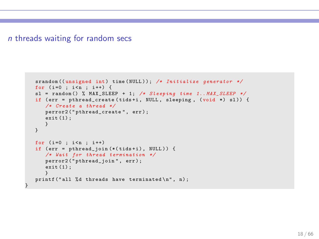#### n threads waiting for random secs

}

```
srandom ((unsigned int) time (NULL)); /* Initialize generator */
for (i=0 : i \le n : i++) {
sl = random () % MAX_SLEEP + 1; /* Sleeping time 1.. MAX_SLEEP */
if ( err = pthread_create ( tids +i , NULL , sleeping , (void *) sl )) {
   /* Create a thread */
   perror2 ("pthread_create", err);
   ext(1):
   }
}
for (i=0 : i \le n : i++)if (err = pthread\_join (*(tids + i), NULL)) {
   /* Wait for thread termination */
   perror2 ("pthread_join", err);
   ext{ (1)}:
   }
printf ("all %d threads have terminated \ln", n);
```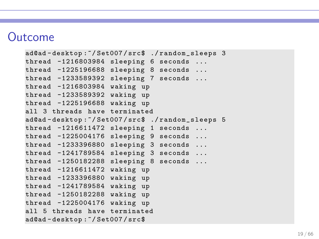#### Outcome

```
ad@ad - desktop :~/ Set007 / src$ ./ random_sleeps 3
thread -1216803984 sleeping 6 seconds ...
thread -1225196688 sleeping 8 seconds ...
thread -1233589392 sleeping 7 seconds ...
thread -1216803984 waking up
thread -1233589392 waking up
thread -1225196688 waking up
all 3 threads have terminated
ad@ad - desktop :~/ Set007 / src$ ./ random_sleeps 5
thread -1216611472 sleeping 1 seconds ...
thread -1225004176 sleeping 9 seconds ...
thread -1233396880 sleeping 3 seconds ...
thread -1241789584 sleeping 3 seconds ...
thread -1250182288 sleeping 8 seconds ...
thread -1216611472 waking up
thread -1233396880 waking up
thread -1241789584 waking up
thread -1250182288 waking up
thread -1225004176 waking up
all 5 threads have terminated
ad@ad - desktop :~/ Set007 / src$
```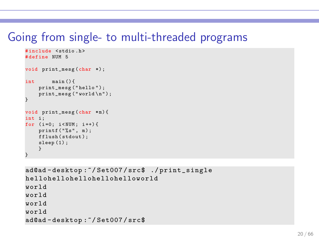#### Going from single- to multi-threaded programs

```
#include <stdio.h>
# define NUM 5
void print_mesg (char *) ;
int main () {
    print_mesg ("hello");
    print_{mesg} ("world \n\cdot n");
}
void print_mesg(char *m){
int i:
for (i=0; i < NUM; i++)print(f ( " % s". m ):
    fflush (stdout);
    sleep (1) ;
     }
}
```

```
ad@ad - desktop :~/ Set007 / src$ ./ print_single
hellohellohellohellohelloworld
world
world
world
world
ad@ad - desktop :~/ Set007 / src$
```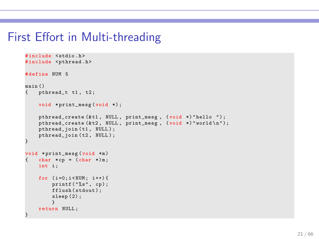### First Effort in Multi-threading

```
# include < stdio .h >
#include <pthread.h>
# define NUM 5
main ()<br>{ pt
    { pthread_t t1 , t2 ;
    void *print_mesg(void *);
     pthread_create (&t1, NULL, print_mesg, (void *) "hello ");
     pthread_create (\& t2, \quad \text{NULL}, \quad \text{print\_mesg}, \quad (\text{void } *) "world \n\{n\}";
     pthread_join (t1, NULL);
     pthread_join (t2, NULL);
}
void *print_mesg (void *m)
    char * cp = (char *)m;int i;
    for (i=0:i< NUM; i++) {
         print(f("%s", cp);fflush (stdout);
          sleep (2) ;
          }
    return NULL ;
}
```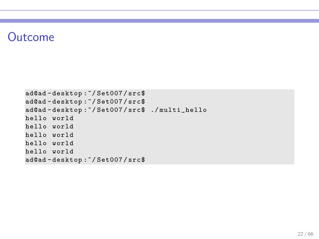## Outcome

```
ad@ad - desktop :~/ Set007 / src$
ad@ad - desktop :~/ Set007 / src$
ad@ad - desktop :~/ Set007 / src$ ./ multi_hello
hello world
hello world
hello world
hello world
hello world
ad@ad - desktop :~/ Set007 / src$
```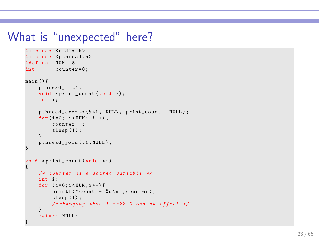#### What is "unexpected" here?

```
# include < stdio .h >
#include <pthread.h>
# define NUM 5
int counter =0;
main () {
    pthread_t t1 ;
    void *print_count (void *);
    int i:
    pthread_create (& t1 , NULL , print_count , NULL ) ;
    for (i = 0; i < NUM; i++) {
         counter ++;
         sleep (1);
    }
    pthread_join ( t1 , NULL ) ;
}
void *print_count (void *m)
{
    /* counter is a shared variable */
    int i:
    for (i=0:i<NUM:i++) {
         printf ("count = \lambda d \nightharpoonup", counter) :
         sleep (1) ;
         /* changing this 1 -->> 0 has an effect */
    }
    return NULL ;
}
```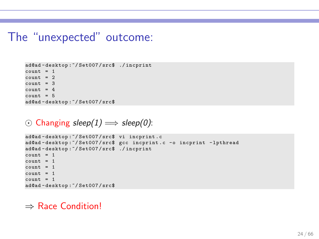#### The "unexpected" outcome:

```
ad@ad - desktop :~/ Set007 / src$ ./ incprint
count = 1count = 2count = 3count = 4count = 5ad@ad - desktop :~/ Set007 / src$
```

```
⊙ Changing sleep(1) \implies sleep(0):
```

```
ad@ad - desktop :~/ Set007 / src$ vi incprint . c
ad@ad - desktop :~/ Set007 / src$ gcc incprint . c -o incprint -lpthread
ad@ad - desktop :~/ Set007 / src$ ./ incprint
count = 1count = 1count = 1count = 1count = 1ad@ad - desktop :~/ Set007 / src$
```
#### ⇒ Race Condition!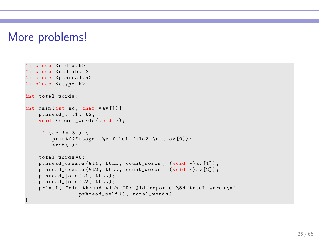### More problems!

```
# include < stdio .h >
# include < stdlib .h >
#include <pthread.h>
#include <ctype.h>
int total words :
int main (int ac. char *av []) {
    pthread_t t1 , t2 ;
    void *count_words (void *);
    if (ac == 3) {
        printf ("usage: %s file1 file2 \n", av [0]);
        exit (1) ;
    }
    total_words =0;
    pthread_create (& t1 , NULL , count_words , ( void *) av [1]) ;
    pthread_create (&t2, NULL, count_words, (void *) av [2]);
    pthread_join (t1, NULL);
    pthread_join (t2, NULL);
    printf ("Main thread with ID: %1d reports %5d total words \n",
                 pthread self (), total words) ;
}
```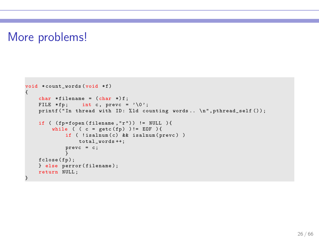## More problems!

```
void *count_words (void *f)
{
    char *filename = (char *) f;FILE *fp; int c, prevc = ' \ 0';
    printf ("In thread with ID: %1d counting words.. \n \hat{P}", pthread_self ());
    if ( (fp = fopen(filename, "r")) != NULL ){
        while ( (c = getc(fp)) != E0F) {
             if ( !isalnum (c) && isalnum (prevc) )
                 total_words ++;
             prevc = c;}
fclose ( fp );
    } else perror ( filename );
    return NULL ;
}
```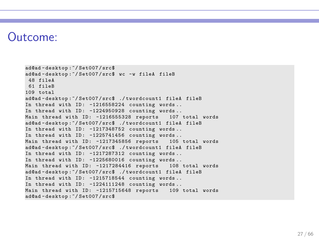#### Outcome:

ad@ad - desktop :~/ Set007 / src\$ ad@ad - desktop :~/ Set007 / src\$ wc -w fileA fileB 48 fileA 61 fileB 109 total ad@ad - desktop :~/ Set007 / src\$ ./ twordcount1 fileA fileB In thread with  $ID: -1216558224$  counting words.. In thread with ID:  $-1224950928$  counting words.. Main thread with ID: -1216555328 reports 107 total words ad@ad - desktop :~/ Set007 / src\$ ./ twordcount1 fileA fileB In thread with ID: -1217348752 counting words.. In thread with ID:  $-1225741456$  counting words.. Main thread with ID: -1217345856 reports 105 total words ad@ad - desktop :~/ Set007 / src\$ ./ twordcount1 fileA fileB In thread with ID:  $-1217287312$  counting words.. In thread with  $ID: -1225680016$  counting words... Main thread with ID: -1217284416 reports 108 total words ad@ad - desktop :~/ Set007 / src\$ ./ twordcount1 fileA fileB In thread with ID: -1215718544 counting words.. In thread with  $ID: -1224111248$  counting words... Main thread with ID: -1215715648 reports 109 total words ad@ad - desktop :~/ Set007 / src\$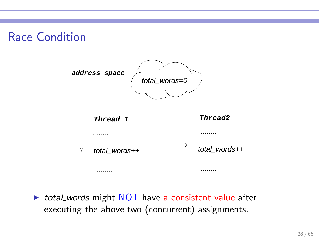## Race Condition



▶ total\_words might NOT have a consistent value after executing the above two (concurrent) assignments.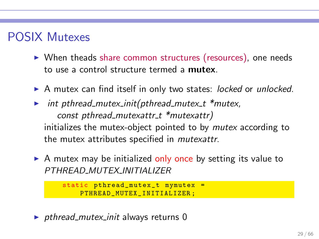# POSIX Mutexes

- ▶ When theads share common structures (resources), one needs to use a control structure termed a mutex.
- ▶ A mutex can find itself in only two states: locked or unlocked.
- $\triangleright$  int pthread mutex init(pthread mutex t \*mutex, const pthread mutexattr  $t$  \*mutexattr) initializes the mutex-object pointed to by *mutex* according to the mutex attributes specified in mutexattr.
- $\triangleright$  A mutex may be initialized only once by setting its value to PTHREAD MUTEX INITIALIZER

```
static pthread_mutex_t mymutex =
    PTHREAD MUTEX INITIALIZER :
```
 $\rightarrow$  pthread mutex init always returns 0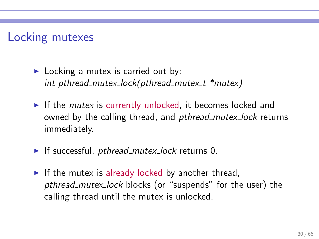## Locking mutexes

- $\blacktriangleright$  Locking a mutex is carried out by: int pthread mutex lock(pthread mutex  $t$  \*mutex)
- $\blacktriangleright$  If the *mutex* is currently unlocked, it becomes locked and owned by the calling thread, and *pthread mutex lock* returns immediately.
- $\blacktriangleright$  If successful, pthread mutex lock returns 0.
- $\triangleright$  If the mutex is already locked by another thread, pthread mutex lock blocks (or "suspends" for the user) the calling thread until the mutex is unlocked.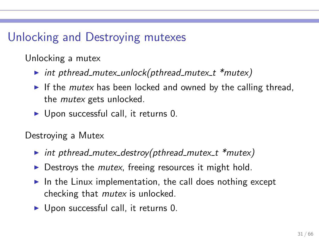# Unlocking and Destroying mutexes

Unlocking a mutex

- $\triangleright$  int pthread mutex unlock(pthread mutex t \*mutex)
- $\triangleright$  If the *mutex* has been locked and owned by the calling thread, the mutex gets unlocked.
- $\triangleright$  Upon successful call, it returns 0.

Destroying a Mutex

- int pthread mutex destroy(pthread mutex  $t$  \*mutex)
- $\triangleright$  Destroys the *mutex*, freeing resources it might hold.
- $\blacktriangleright$  In the Linux implementation, the call does nothing except checking that mutex is unlocked.
- $\triangleright$  Upon successful call, it returns 0.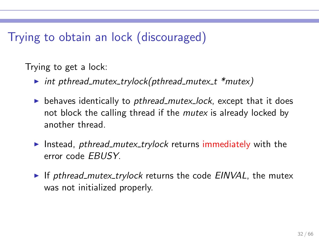## Trying to obtain an lock (discouraged)

Trying to get a lock:

- $\triangleright$  int pthread mutex trylock(pthread mutex t \*mutex)
- $\triangleright$  behaves identically to *pthread mutex lock*, except that it does not block the calling thread if the *mutex* is already locked by another thread.
- ► Instead, *pthread\_mutex\_trylock* returns immediately with the error code EBUSY.
- $\triangleright$  If pthread mutex trylock returns the code EINVAL, the mutex was not initialized properly.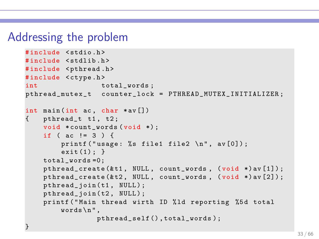#### Addressing the problem

```
# include < stdio .h >
# include < stdlib .h >
#include <pthread.h>
#include <ctype.h>
int total_words;
pthread_mutex_t counter_lock = PTHREAD_MUTEX_INITIALIZER ;
int main (int ac, char *av [])
{ pthread_t t1, t2;void *count_words (void *);
    if ( ac := 3 ) {
        printf ("usage: %s file1 file2 \n \n \nu, av [0]);
        exit(1);}
    total words =0:
    pthread_create (& t1 , NULL , count_words , ( void *) av [1]) ;
    pthread_create (& t2 , NULL , count_words , ( void *) av [2]) ;
    pthread_join(t1, NULL);
    pthread_join (t2, NULL);
    printf ("Main thread wirth ID %ld reporting %5d total
        words \n\cdot",
                 pthread_self () , total_words );
}
```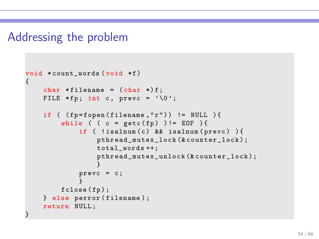#### Addressing the problem

```
void * count_words (void *f)
{
    char * filename = (char *)f;
    FILE *fp; int c, prevc = \sqrt{0'};
    if ( (fp = fopen(filename, "r")) != NULL ){
        while ( (c = getc(fp) ) != E0F ) {
             if ( ! isalnum(c) && isalnum(prevc) ){
                 pthread_mutex_lock (& counter_lock ) ;
                 total_words ++;
                 pthread_mutex_unlock (& counter_lock );
                  }
             prevc = c;
             }
        fclose(fp);} else perror ( filename );
    return NULL ;
}
```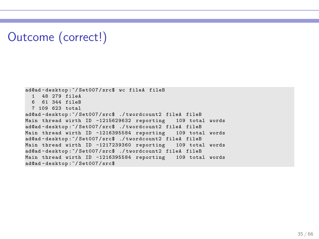# Outcome (correct!)

```
ad@ad - desktop :~/ Set007 / src$ wc fileA fileB
  1 48 279 fileA
  6 61 344 fileB
  7 109 623 total
ad@ad - desktop :~/ Set007 / src$ ./ twordcount2 fileA fileB
Main thread wirth ID -1215629632 reporting 109 total words
ad@ad - desktop :~/ Set007 / src$ ./ twordcount2 fileA fileB
Main thread wirth ID -1216395584 reporting 109 total words
ad@ad - desktop :~/ Set007 / src$ ./ twordcount2 fileA fileB
Main thread wirth ID -1217239360 reporting 109 total words
ad@ad - desktop :~/ Set007 / src$ ./ twordcount2 fileA fileB
Main thread wirth ID -1216395584 reporting 109 total words
ad@ad - desktop :~/ Set007 / src$
```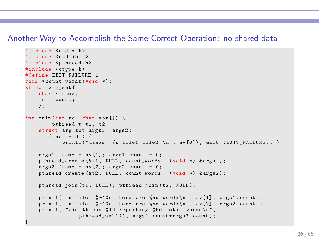#### Another Way to Accomplish the Same Correct Operation: no shared data

```
# include < stdio .h >
#include <stdlib.h>
#include <pthread.h>
#include <ctype.h>
# define EXIT_FAILURE 1
void *count words (void *) ;
struct arg_set {
    char * fname;
    int count ;
    };
int main (int ac, char *av[]) {
         pthread t t1, t2;
    struct arg_set args1, args2;
    if ( ac := 3 ) {
            printf (" usage : % % file1 file2 \n", av [0]) ; exit ( EXIT FAILURE ) ; }
    args1 . frame = av[1]; args1 . count = 0;pthread create (& t1, NULL, count words, ( void *) & args1) ;
    \texttt{args2.findme} = \texttt{av[2]: args2.count} = 0;
    pthread_create (& t2 , NULL , count_words , ( void *) & args2 ) ;
    pthread join (t1, NULL); pthread join (t2, NULL);
    printf ("In file \frac{9}{6}-10s there are \frac{9}{6}d words \n", av [1], args1.count);
    printf ("In file %-10s there are %5d words \n", av[2], ares2, count);
    printf ("Main thread %ld reporting %5d total words\n",
                  pthread_self () , args1 . count + args2 . count ) ;
}
```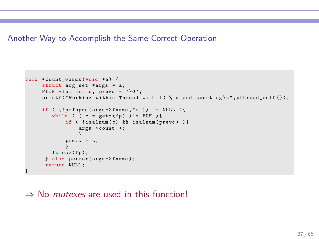#### Another Way to Accomplish the Same Correct Operation

```
void * count words (void * a) {
     struct arg_set *args = a;
     FILE *fp; int c, prevc = \sqrt{0'};
     printf ("Working within Thread with ID % ld and counting \n", pthread_self ());
     if ( (fp = fopen (args - \geq fname, "r") ) != NULL ){
         while ( (c = getc(fp)) := E0F ) {
             if ( !isalnum (c) && isalnum (prevc) ) {
                  arps - \geq count + +:
                  }
             prevc = c;
              }
        fclose(fp);} else perror ( args -> fname ) ;
      return NULL ;
}
```
#### $\Rightarrow$  No *mutexes* are used in this function!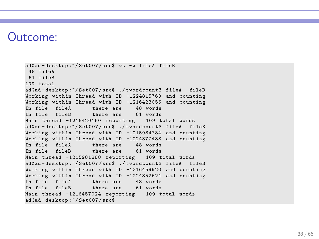#### Outcome:

ad@ad - desktop :~/ Set007 / src\$ wc -w fileA fileB 48 fileA 61 fileB 109 total ad@ad-desktop:"/Set007/src\$ ./twordcount3 fileA fileB Working within Thread with ID -1224815760 and counting Working within Thread with ID -1216423056 and counting In file fileA there are 48 words<br>In file fileR there are 61 words there are 61 words Main thread -1216420160 reporting 109 total words ad@ad - desktop :~/ Set007 / src\$ ./ twordcount3 fileA fileB Working within Thread with ID -1215984784 and counting Working within Thread with ID -1224377488 and counting In file fileA there are 48 words<br>In file fileR there are 61 words  $there are 61 words$ Main thread -1215981888 reporting 109 total words ad@ad - desktop :~/ Set007 / src\$ ./ twordcount3 fileA fileB Working within Thread with ID -1216459920 and counting Working within Thread with ID -1224852624 and counting In file fileA there are 48 words In file fileB there are 61 words Main thread -1216457024 reporting 109 total words ad@ad - desktop :~/ Set007 / src\$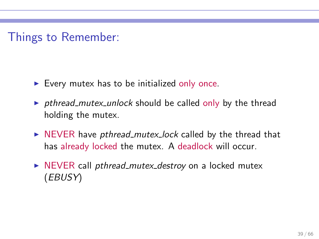Things to Remember:

- $\blacktriangleright$  Every mutex has to be initialized only once.
- ▶ pthread mutex unlock should be called only by the thread holding the mutex.
- $\triangleright$  NEVER have pthread mutex lock called by the thread that has already locked the mutex. A deadlock will occur.
- ▶ NEVER call *pthread\_mutex\_destroy* on a locked mutex (EBUSY)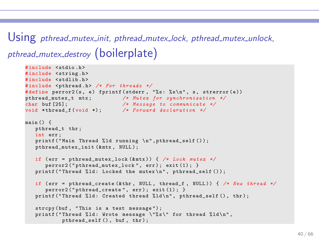# Using pthread\_mutex\_init, pthread\_mutex\_lock, pthread\_mutex\_unlock, pthread\_mutex\_destroy (boilerplate)

```
# include < stdio .h >
#include <string.h>
#include <stdlib.h>
# include < pthread .h > /* For threads */
#define perror2(s, e) fprintf(stderr, "%s: %s\n", s, strerror(e))
pthread_mutex_t mtx ; /* Mutex for synchronization */
                        char buf [25]; /* Message to communicate */
void *thread f ( void *) ; /* Forward declaration */
main () {
   pthread t thr:
   int err ;
   printf ("Main Thread %1d running \ln" pthread self ()) ;
   pthread mutex init (& mtx, NULL) ;
   if ( err = pthread_mutex_ lo ck (& mtx ) ) { /* Lock mutex */
      perror2 ("vthread mutex lock", err); exit (1); }
   printf ("Thread %ld: Locked the mutex\n", pthread self ());
   if ( err = pthread_create (& thr , NULL , thread_f , NULL )) { /* New thread */
      perror2("vthread create", err); exit(1); }
   printf ("Thread %ld: Created thread %ld\n", pthread self (), thr) ;
   strcpy (buf. "This is a test message"):
   printf ("Thread %ld: Wrote message \"%s\" for thread %ld\n",
           pthread self (), buf, thr):
```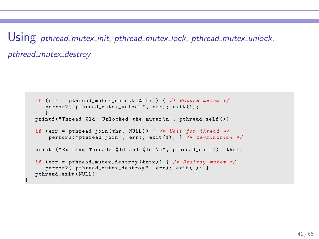Using pthread\_mutex\_init, pthread\_mutex\_lock, pthread\_mutex\_unlock, pthread\_mutex\_destrov

```
if ( err = pthread_mutex _u nl oc k (& mtx )) { /* Unlock mutex */
      perror2 ("pthread_mutex_unlock", err); exit (1);
   }
printf (" Thread % ld : Unlocked the mutex \ n" , pthread_self () ) ;
   if ( err = pthread_join ( thr , NULL ) ) { /* Wait for thread */
       perror2 ( " pthread_join " , err ); exit (1) ; } /* termination */
   printf ("Exiting Threads %ld and %ld \n", pthread_self (), thr);
   if ( err = pthread_mutex _d es tr oy (& mtx ) ) { /* Destroy mutex */
      perror2("vthread mutex destroy", err); exit (1) ; }
   pthread_exit ( NULL ) ;
}
```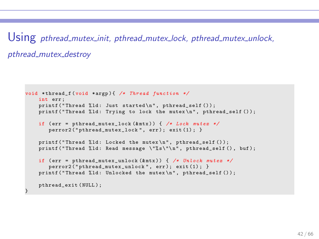Using pthread\_mutex\_init, pthread\_mutex\_lock, pthread\_mutex\_unlock, pthread\_mutex\_destroy

```
void * thread_f ( void * argp ) { /* Thread function */
    int err ;
    printf ("Thread %ld: Just started\n", pthread self () ):
    printf ("Thread %ld: Trying to lock the mutex \n", pthread self ()):
    if ( err = pthread_mutex_ loc k (& mtx ) ) { /* Lock mutex */
       perror2("vthread mutex lock", err); exit (1); }
    printf ("Thread %ld: Locked the mutex\nu", pthread_self ());
    printf ("Thread %ld: Read message \"%s\"\n", pthread self (), buf);
    if ( err = pthread_mutex_ un lo ck (& mtx ) ) { /* Unlock mutex */
       perror2("pthread_mutex_unlock", err); exit(1); }
    printf ("Thread %ld: Unlocked the mutex\n", pthread self ()) ;
    pthread_exit ( NULL ) ;
}
```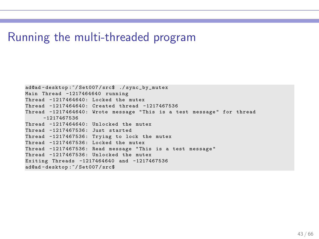#### Running the multi-threaded program

ad@ad - desktop :~/ Set007 / src\$ ./ sync\_by\_mutex Main Thread -1217464640 running Thread -1217464640: Locked the mutex Thread -1217464640: Created thread -1217467536 Thread -1217464640: Wrote message " This is a test message " for thread -1217467536 Thread -1217464640: Unlocked the mutex Thread -1217467536: Just started Thread -1217467536: Trying to lock the mutex Thread -1217467536: Locked the mutex Thread -1217467536: Read message "This is a test message" Thread -1217467536: Unlocked the mutex Exiting Threads -1217464640 and -1217467536 ad@ad - desktop :~/ Set007 / src\$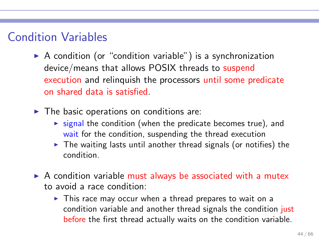## Condition Variables

- $\triangleright$  A condition (or "condition variable") is a synchronization device/means that allows POSIX threads to suspend execution and relinquish the processors until some predicate on shared data is satisfied.
- $\blacktriangleright$  The basic operations on conditions are:
	- $\triangleright$  signal the condition (when the predicate becomes true), and wait for the condition, suspending the thread execution
	- $\triangleright$  The waiting lasts until another thread signals (or notifies) the condition.
- $\triangleright$  A condition variable must always be associated with a mutex to avoid a race condition:
	- ► This race may occur when a thread prepares to wait on a condition variable and another thread signals the condition just before the first thread actually waits on the condition variable.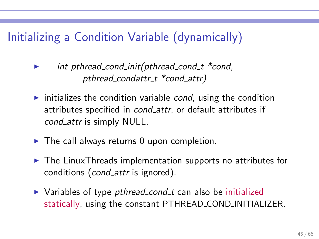# Initializing a Condition Variable (dynamically)

- $int$  pthread cond init(pthread cond  $t$  \*cond, pthread condattr t \*cond attr)
- $\triangleright$  initializes the condition variable *cond*, using the condition attributes specified in *cond\_attr*, or default attributes if cond\_attr is simply NULL.
- $\triangleright$  The call always returns 0 upon completion.
- ▶ The LinuxThreads implementation supports no attributes for conditions (cond attr is ignored).
- ▶ Variables of type *pthread\_cond\_t* can also be initialized statically, using the constant PTHREAD COND INITIALIZER.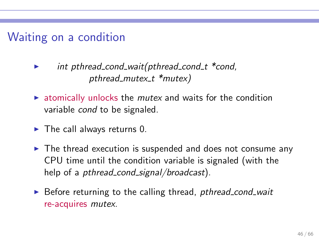## Waiting on a condition

- int pthread cond wait(pthread cond  $t$  \*cond, pthread mutex  $t$  \*mutex)
- $\triangleright$  atomically unlocks the *mutex* and waits for the condition variable cond to be signaled.
- $\blacktriangleright$  The call always returns 0.
- ► The thread execution is suspended and does not consume any CPU time until the condition variable is signaled (with the help of a *pthread\_cond\_signal/broadcast*).
- ▶ Before returning to the calling thread, *pthread\_cond\_wait* re-acquires mutex.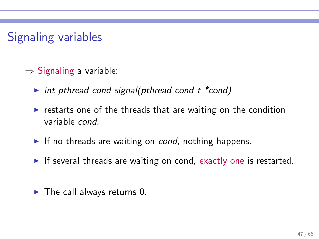# Signaling variables

- $\Rightarrow$  Signaling a variable:
	- $\triangleright$  int pthread cond signal(pthread cond t \*cond)
	- $\triangleright$  restarts one of the threads that are waiting on the condition variable cond.
	- $\blacktriangleright$  If no threads are waiting on *cond*, nothing happens.
	- $\triangleright$  If several threads are waiting on cond, exactly one is restarted.
	- $\blacktriangleright$  The call always returns 0.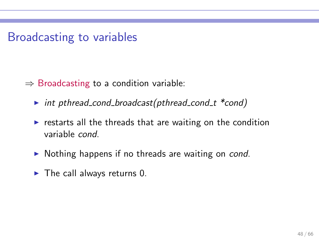Broadcasting to variables

 $\Rightarrow$  Broadcasting to a condition variable:

- $\triangleright$  int pthread cond broadcast(pthread cond t \*cond)
- $\triangleright$  restarts all the threads that are waiting on the condition variable cond.
- ▶ Nothing happens if no threads are waiting on cond.
- $\blacktriangleright$  The call always returns 0.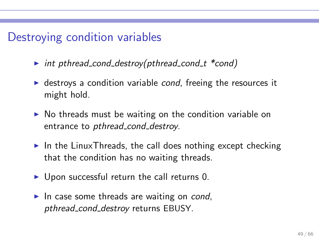## Destroying condition variables

- $\triangleright$  int pthread cond destroy(pthread cond t \*cond)
- $\triangleright$  destroys a condition variable *cond*, freeing the resources it might hold.
- $\triangleright$  No threads must be waiting on the condition variable on entrance to *pthread\_cond\_destroy*.
- $\triangleright$  In the LinuxThreads, the call does nothing except checking that the condition has no waiting threads.
- $\triangleright$  Upon successful return the call returns 0.
- $\blacktriangleright$  In case some threads are waiting on *cond*, pthread\_cond\_destroy returns EBUSY.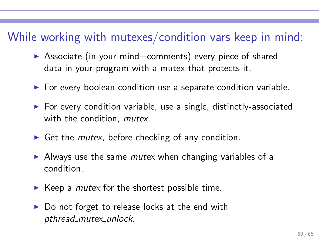## While working with mutexes/condition vars keep in mind:

- $\triangleright$  Associate (in your mind+comments) every piece of shared data in your program with a mutex that protects it.
- $\triangleright$  For every boolean condition use a separate condition variable.
- ▶ For every condition variable, use a single, distinctly-associated with the condition, *mutex*.
- $\triangleright$  Get the *mutex*, before checking of any condition.
- $\triangleright$  Always use the same *mutex* when changing variables of a condition.
- $\blacktriangleright$  Keep a *mutex* for the shortest possible time.
- $\triangleright$  Do not forget to release locks at the end with pthread mutex unlock.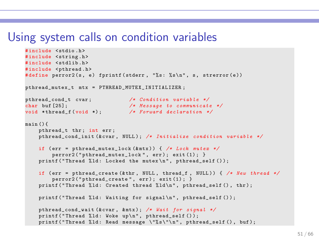```
# include < stdio .h >
#include <string.h>
#include <stdlib.h>
#include <pthread.h>
#define perror2(s, e) fprintf(stderr, "%s: %s\n", s, strerror(e))
pthread mutex t mtx = PTHREAD MUTEX INITIALIZER :
pthread_cond_t cvar ; /* Condition variable */
                              char buf [25]; /* Message to communicate */
void * thread f ( void *) \cdotmain () {
    pthread t thr: int err:
    pthread_cond_i ni t (& cvar , NULL ) ; /* Initialize condition variable */
    if ( err = pthread_mutex_ loc k (& mtx ) ) { /* Lock mutex */
        perror2("pthread_mutex_lock", err); exit(1); }
    printf ("Thread %ld: Locked the mutex\n", pthread self ());
    if ( err = pthread_create (& thr , NULL , thread_f , NULL ) ) { /* New thread */
        perror2("vthread create", err); exit(1); }
    printf ("Thread %ld: Created thread %ld\n", pthread self (), thr) ;
    printf ("Thread %ld: Waiting for signal\n", pthread_self ());
    pthread_cond_w ai t (& cvar , & mtx ) ; /* Wait for signal */
    printf ("Thread %ld: Woke up\n", pthread_self ());
    printf ("Thread %ld: Read message \"%s\"\n", pthread self (), buf):
```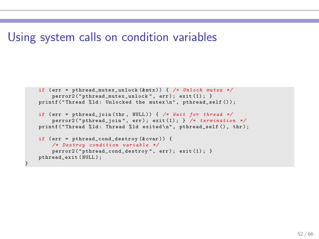}

```
if ( err = pthread_mutex_ un lo ck (& mtx ) ) { /* Unlock mutex */
    perror2("pthread_mutex_unlock", err); exit(1); }
printf ("Thread \chi1d: Unlocked the mutex\ln", pthread_self ());
if (err = pthread join (thr, NULL.)) \frac{1}{2} /* Wait for thread */
    perror2 ( " pthread_join " , err ) ; exit (1) ; } /* termination */
printf ("Thread %ld: Thread %ld exited\n", pthread_self (), thr);
if (err = pthread\_cond\_destroy(kcvar)) {
    /* Destroy condition variable */
    perror2("vthread cond destrov", err); exit (1); }
pthread_exit ( NULL ) ;
```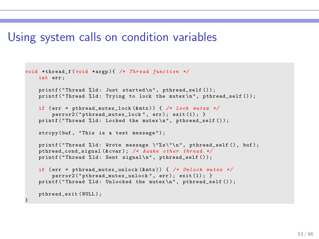```
void * thread_f ( void * argp ) { /* Thread function */
    int err ;
    printf ("Thread %ld: Just started\n", pthread self () ):
    printf ("Thread % ld: Trying to lock the mutex \ln", pthread self ());
    if ( err = pthread_mutex_ loc k (& mtx ) ) { /* Lock mutex */
        perror2 ("nthread mutex lock". err) ; exit (1) :}
    printf ("Thread %ld: Locked the mutex\n", pthread_self ());
    strcpy (buf. "This is a test message"):
    printf ("Thread %ld: Wrote message \"%s\"\n", pthread self (), buf) ;
    pthread_cond_ si gn al (& cvar ) ; /* Awake other thread */
    printf ("Thread %ld: Sent signal\n", pthread_self ());
    if ( err = pthread_mutex_ un lo ck (& mtx ) ) { /* Unlock mutex */
        perror2("pthread_mutex_unlock", err); exit(1); }
    printf ("Thread %ld: Unlocked the mutex\n", pthread_self ());
    pthread_exit (NULL) :
}
```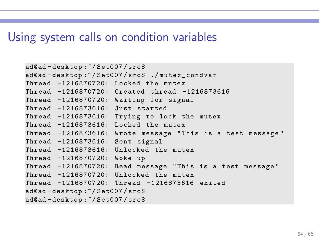```
ad@ad - desktop :~/ Set007 / src$
ad@ad - desktop :~/ Set007 / src$ ./ mutex_condvar
Thread -1216870720: Locked the mutex
Thread -1216870720: Created thread -1216873616
Thread -1216870720: Waiting for signal
Thread -1216873616: Just started
Thread -1216873616: Trying to lock the mutex
Thread -1216873616: Locked the mutex
Thread -1216873616: Wrote message " This is a test message "
Thread -1216873616: Sent signal
Thread -1216873616: Unlocked the mutex
Thread -1216870720: Woke up
Thread -1216870720: Read message " This is a test message "
Thread -1216870720: Unlocked the mutex
Thread -1216870720: Thread -1216873616 exited
ad@ad - desktop :~/ Set007 / src$
ad@ad - desktop :~/ Set007 / src$
```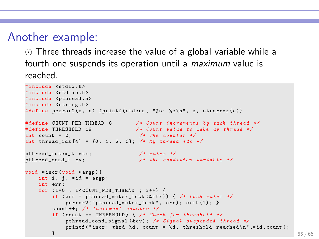## Another example:

⊙ Three threads increase the value of a global variable while a fourth one suspends its operation until a *maximum* value is reached.

```
# include < stdio .h >
#include <stdlib.h>
#include <pthread.h>
#include <string.h>
#define perror2(s, e) fprintf(stderr, "%s: %s\n", s, strerror(e))
# define COUNT_PER_THRE AD 8 /* Count increments by each thread */
# define THRESHOLD 19 /* Count value to wake up thread */
int count = 0; /* The counter */
int thread_ids [4] = {0 , 1, 2, 3}; /* My thread ids */
pthread_mutex_t mtx; /* mutex */<br>
nthread cond t cv: /* the cond:
                                  \sqrt{\ast} the condition variable \ast/
void * incr ( void * argp ) {
    int i, i, *id = argp;
    int err ;
    for (i=0 : i < COUNT PER THREAD ; i++) {
        if ( err = pthread_mutex_ lo ck (& mtx ) ) { /* Lock mutex */
             perror2("nthread-mutex lock". err); exit(1); }
        count ++; /* Increment counter */
        if ( count == THRESHOLD ) { /* Check for threshold */
             pthread_cond_ si gn al (& cv ) ; /* Signal suspended thread */
            printf ("incr: thrd \frac{d}{dx}, count = \frac{d}{dx}, threshold reached \n", *id, count);
         \bf{B} \bf{55} / 66
```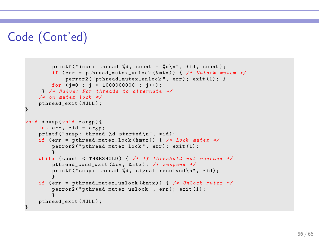# Code (Cont'ed)

```
printf ("incr: thread %d, count = %d\n", *id, count);
        if ( err = pthread_mutex_ un lo ck (& mtx ) ) { /* Unlock mutex */
             perror2("pthread_mutex_unlock", err); exit(1); }
        for (i=0 ; i < 1000000000 ; i++);
     } /* Naive : For threads to alternate */
    /* on mutex lock */
    pthread_exit ( NULL ) ;
}
void * susp ( void * argp ) {
    int err, *id = arep:
    print(f("susp: thread %d started\n', *id):if (err = nthread mutex lock (kmtx) ) \frac{1}{k} \frac{1}{k} lock mutex \neq kperror2 (" pthread mutex lock", err) ; exit (1) ;
    }
while ( count < THRESHOLD ) { /* If threshold not reached */
        pthread_cond_w ai t (& cv , & mtx ) ; /* suspend */
        print('susp: thread %d. signal received \n'': *id):}
    if ( err = pthread_mutex_ un lo ck (& mtx ) ) { /* Unlock mutex */
         perror2("pthread_mutex_unlock", err); exit(1);
         }
    pthread_exit (NULL) :
}
```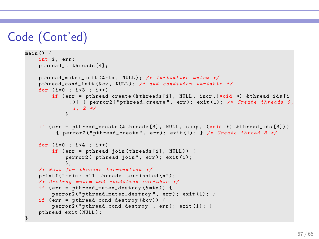# Code (Cont'ed)

}

```
main() fint i, err;
    pthread_t threads [4];
    pthread_mutex_ in it (& mtx , NULL ) ; /* Initialize mutex */
    pthread_cond_i ni t (& cv , NULL ) ; /* and condition variable */
    for (i=0 : i<3 : i++)if (err = pthread create (\& threads [i], NULL, incr ,(void *) \& thread ids [i]
              ]) ) { perror2 ( " pthread_create " , err ) ; exit (1) ; /* Create threads 0 ,
              1 , 2 */
             }
    if (err = pthread_create (& threads [3], NULL, susp, (void *) & thread_ids [3]))
          { perror2 ( " pthread_create " , err ) ; exit (1) ; } /* Create thread 3 */
    for (i=0 : i < 4 : i++)if (err = pthread join (threads [i], NULL)) {
             perror2("pthread_join", err); exit(1);
             };
    /* Wait for threads termination */
    printf ("main: all threads terminated\n");
    /* Destroy mutex and condition variable */
    if (err = pthread mutex destroy (kmtx)) {
        perror2 ("nthread-mutex destrov", err); exit (1) :}
    if (err = pthread\_cond\_destroy(kcv)) {
        perror2("pthread_cond_destroy", err); exit(1); }
    pthread exit ( NULL ) :
```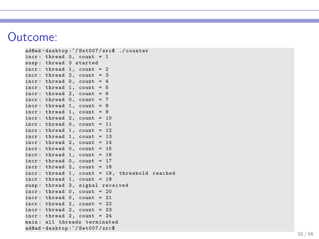#### Outcome:

```
ad@ad - desktop :~/ Set007 / src$ ./ counter
incr: thread 0, count = 1
susp : thread 3 started
\text{incr}: \text{thread } 1, \text{ count } = 2incr: thread 2, count = 3
incr: thread 0, count = 4
\text{incr}: \text{thread } 1, \text{ count } = 5incr: thread 2, count = 6
incr: thread 0. count = 7incr: thread 1, count = 8\text{incr}: \text{thread} 1, \text{count} = 9incr: thread 2, count = 10
incr: thread 0, count = 11
incr: thread 1, count = 12incr: thread 1, count = 13incr: thread 2, count = 14
incr: thread 0, count = 15
incr: thread 1, count = 16
incr: thread 0, count = 17
incr: thread 2, count = 18
incr : thread 1, count = 19 , threshold reached
incr: thread 1, count = 19
susp : thread 3, signal received
\text{incr}: \text{thread } 0, \text{ count} = 20incr: thread 0, count = 21
incr: thread 2, count = 22
incr: thread 2, count = 23incr: thread 2, count = 24main : all threads terminated
ad@ad - desktop :~/ Set007 / src$
```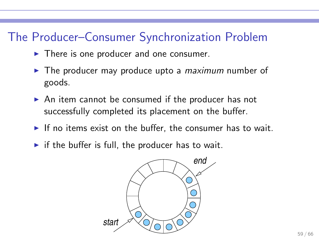## The Producer–Consumer Synchronization Problem

- $\blacktriangleright$  There is one producer and one consumer.
- $\triangleright$  The producer may produce upto a *maximum* number of goods.
- ► An item cannot be consumed if the producer has not successfully completed its placement on the buffer.
- $\triangleright$  If no items exist on the buffer, the consumer has to wait.
- $\triangleright$  if the buffer is full, the producer has to wait.

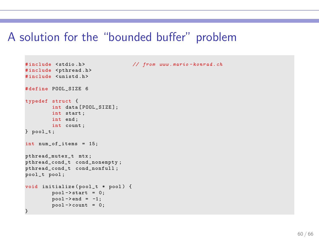#### A solution for the "bounded buffer" problem

```
# include < stdio .h > // from www . mario - konrad . ch
#include <pthread.h>
#include <unistd.h>
# define POOL SIZE 6
typedef struct {
        int data [ POOL SIZE ];
        int start ;
        int end ;
        int count ;
\} pool t:
int num of items = 15;
pthread_mutex_t mtx ;
pthread_cond_t cond_nonempty ;
pthread_cond_t cond_nonfull ;
pool_t pool ;
void initialize (pool_t * pool) {
         pool -> start = 0;
         pool - > end = -1;
         _{\text{pool}-\text{}<\text{count}} = 0;
}
```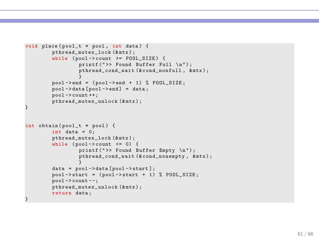```
void place ( pool_t * pool , int data ) {
        pthread mutex lock (& mtx) ;
        while (pool->count->=POOLSIZE) {
                  printf (">> Found Buffer Full \n");
                  pthread_cond_wait (&cond_nonfull, &mtx);
         }
pool -> end = ( pool -> end + 1) % POOL_SIZE ;
        pool - > data [pool - > end] = data;pool -> count ++;
        \n  pthread mutex unlock (kmtx) :
}
int obtain (pool_t * pool) {
        int data = 0:
        pthread mutex lock (& mtx) ;
        while (pool->count \leq 0) {
                  printf (">> Found Buffer Empty \n");
                  pthread_cond_wait (&cond_nonempty, &mtx);
                  }
        data = pool -> data [ pool -> start ];
        pool - > start = (pool - > start + 1) % POOL_SIZE;
        pool - > count - -:
        pthread_mutex_unlock (&mtx);
        return data ;
}
```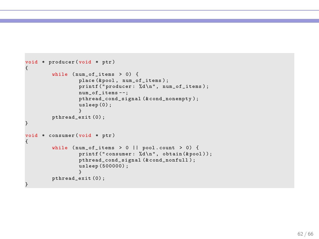```
void * producer (void * ptr )
{
        while (num_of\_items > 0) {
                  place (& pool, num_of_items);
                  printf ("producer: %d\n", num_of_items);
                  num_of_items - -;
                  pthread_cond_signal (&cond_nonempty);
                  usleep (0) ;
         }
pthread_exit (0) ;
}
void * consumer (void * ptr)
{
         while (num_of_items > 0 || pool.count > 0) {
                  printf ("consumer: \sqrt[n]{d \n\cdot n}, obtain (& pool));
                  pthread_cond_signal (&cond_nonfull);
                  usleep (500000) ;
                  }
         pthread_exit (0) ;
}
```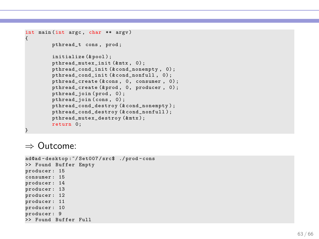```
int main (int argc , char ** argv ) {
        pthread_t cons , prod ;
        initialize (& pool ) ;
        pthread mutex init (& mtx, 0) ;
        pthread_cond_init (&cond_nonempty, 0);
        pthread_cond_init (&cond_nonfull, 0);
        pthread_create (& cons , 0, consumer , 0) ;
        pthread_create (& prod , 0, producer , 0) ;
        pthread_join ( prod , 0) ;
        pthread join ( cons , 0) ;
        pthread_cond_destroy (&cond_nonempty);
        pthread_cond_destroy (&cond_nonfull);
        pthread_mutex_destroy (&mtx);
        return 0;
}
```
#### ⇒ Outcome:

```
ad@ad - desktop :~/ Set007 / src$ ./ prod - cons
>> Found Buffer Empty
producer : 15
consumer : 15
producer : 14
producer : 13
producer : 12
producer : 11
producer : 10
producer : 9
>> Found Buffer Full
```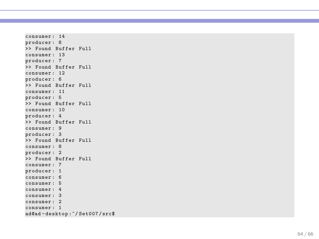```
consumer : 14
producer : 8
>> Found Buffer Full
consumer : 13
producer : 7
>> Found Buffer Full
consumer : 12
producer : 6
>> Found Buffer Full
consumer : 11
producer : 5
>> Found Buffer Full
consumer : 10
producer : 4
>> Found Buffer Full
consumer : 9
producer : 3
>> Found Buffer Full
consumer : 8
producer : 2
>> Found Buffer Full
consumer : 7
producer : 1
consumer : 6
consumer : 5
consumer : 4
consumer : 3
consumer : 2
consumer : 1
ad@ad - desktop :~/ Set007 / src$
```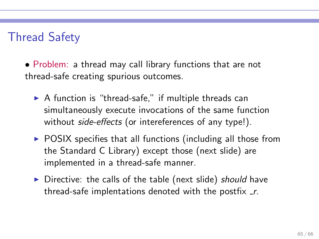## Thread Safety

• Problem: a thread may call library functions that are not thread-safe creating spurious outcomes.

- $\triangleright$  A function is "thread-safe," if multiple threads can simultaneously execute invocations of the same function without *side-effects* (or intereferences of any type!).
- $\triangleright$  POSIX specifies that all functions (including all those from the Standard C Library) except those (next slide) are implemented in a thread-safe manner.
- ▶ Directive: the calls of the table (next slide) should have thread-safe implentations denoted with the postfix  $\mathbf{r}$ .